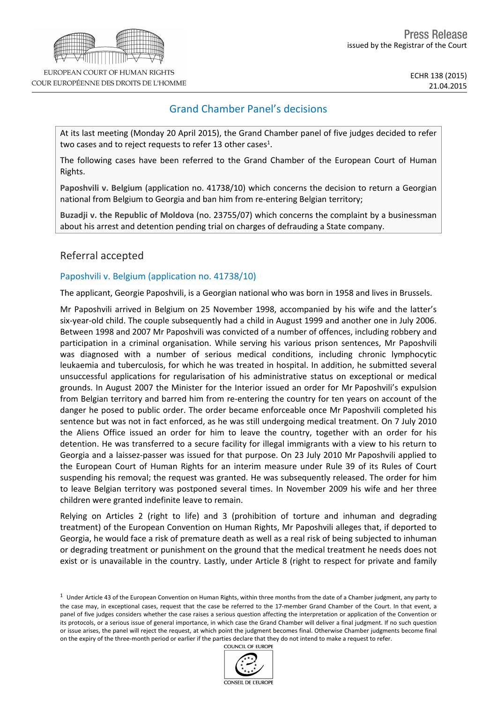# Grand Chamber Panel's decisions

At its last meeting (Monday 20 April 2015), the Grand Chamber panel of five judges decided to refer two cases and to reject requests to refer 13 other cases<sup>1</sup>.

The following cases have been referred to the Grand Chamber of the European Court of Human Rights.

**Paposhvili v. Belgium** (application no. 41738/10) which concerns the decision to return a Georgian national from Belgium to Georgia and ban him from re-entering Belgian territory;

**Buzadji v. the Republic of Moldova** (no. 23755/07) which concerns the complaint by a businessman about his arrest and detention pending trial on charges of defrauding a State company.

## Referral accepted

### Paposhvili v. Belgium (application no. 41738/10)

The applicant, Georgie Paposhvili, is a Georgian national who was born in 1958 and lives in Brussels.

Mr Paposhvili arrived in Belgium on 25 November 1998, accompanied by his wife and the latter's six-year-old child. The couple subsequently had a child in August 1999 and another one in July 2006. Between 1998 and 2007 Mr Paposhvili was convicted of a number of offences, including robbery and participation in a criminal organisation. While serving his various prison sentences, Mr Paposhvili was diagnosed with a number of serious medical conditions, including chronic lymphocytic leukaemia and tuberculosis, for which he was treated in hospital. In addition, he submitted several unsuccessful applications for regularisation of his administrative status on exceptional or medical grounds. In August 2007 the Minister for the Interior issued an order for Mr Paposhvili's expulsion from Belgian territory and barred him from re-entering the country for ten years on account of the danger he posed to public order. The order became enforceable once Mr Paposhvili completed his sentence but was not in fact enforced, as he was still undergoing medical treatment. On 7 July 2010 the Aliens Office issued an order for him to leave the country, together with an order for his detention. He was transferred to a secure facility for illegal immigrants with a view to his return to Georgia and a laissez-passer was issued for that purpose. On 23 July 2010 Mr Paposhvili applied to the European Court of Human Rights for an interim measure under Rule 39 of its Rules of Court suspending his removal; the request was granted. He was subsequently released. The order for him to leave Belgian territory was postponed several times. In November 2009 his wife and her three children were granted indefinite leave to remain.

Relying on Articles 2 (right to life) and 3 (prohibition of torture and inhuman and degrading treatment) of the European Convention on Human Rights, Mr Paposhvili alleges that, if deported to Georgia, he would face a risk of premature death as well as a real risk of being subjected to inhuman or degrading treatment or punishment on the ground that the medical treatment he needs does not exist or is unavailable in the country. Lastly, under Article 8 (right to respect for private and family

 $1$  Under Article 43 of the European Convention on Human Rights, within three months from the date of a Chamber judgment, any party to the case may, in exceptional cases, request that the case be referred to the 17-member Grand Chamber of the Court. In that event, a panel of five judges considers whether the case raises a serious question affecting the interpretation or application of the Convention or its protocols, or a serious issue of general importance, in which case the Grand Chamber will deliver a final judgment. If no such question or issue arises, the panel will reject the request, at which point the judgment becomes final. Otherwise Chamber judgments become final on the expiry of the three-month period or earlier if the parties declare that they do not intend to make a request to refer.



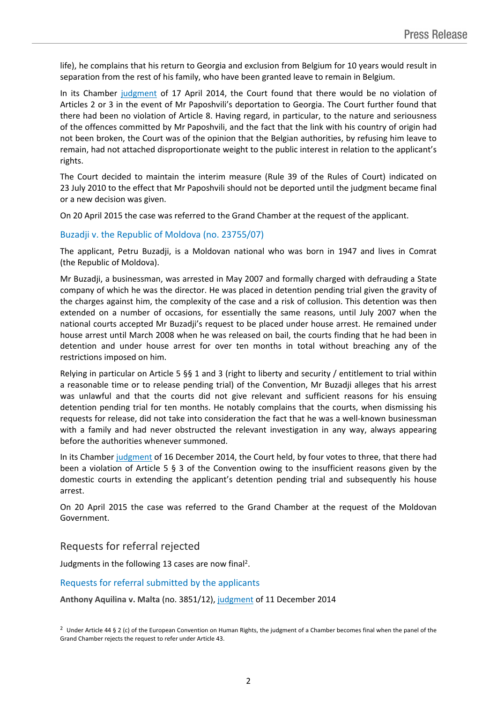life), he complains that his return to Georgia and exclusion from Belgium for 10 years would result in separation from the rest of his family, who have been granted leave to remain in Belgium.

In its Chamber [judgment](http://hudoc.echr.coe.int/sites/eng/pages/search.aspx?i=001-142425) of 17 April 2014, the Court found that there would be no violation of Articles 2 or 3 in the event of Mr Paposhvili's deportation to Georgia. The Court further found that there had been no violation of Article 8. Having regard, in particular, to the nature and seriousness of the offences committed by Mr Paposhvili, and the fact that the link with his country of origin had not been broken, the Court was of the opinion that the Belgian authorities, by refusing him leave to remain, had not attached disproportionate weight to the public interest in relation to the applicant's rights.

The Court decided to maintain the interim measure (Rule 39 of the Rules of Court) indicated on 23 July 2010 to the effect that Mr Paposhvili should not be deported until the judgment became final or a new decision was given.

On 20 April 2015 the case was referred to the Grand Chamber at the request of the applicant.

#### Buzadji v. the Republic of Moldova (no. 23755/07)

The applicant, Petru Buzadji, is a Moldovan national who was born in 1947 and lives in Comrat (the Republic of Moldova).

Mr Buzadji, a businessman, was arrested in May 2007 and formally charged with defrauding a State company of which he was the director. He was placed in detention pending trial given the gravity of the charges against him, the complexity of the case and a risk of collusion. This detention was then extended on a number of occasions, for essentially the same reasons, until July 2007 when the national courts accepted Mr Buzadji's request to be placed under house arrest. He remained under house arrest until March 2008 when he was released on bail, the courts finding that he had been in detention and under house arrest for over ten months in total without breaching any of the restrictions imposed on him.

Relying in particular on Article 5 §§ 1 and 3 (right to liberty and security / entitlement to trial within a reasonable time or to release pending trial) of the Convention, Mr Buzadji alleges that his arrest was unlawful and that the courts did not give relevant and sufficient reasons for his ensuing detention pending trial for ten months. He notably complains that the courts, when dismissing his requests for release, did not take into consideration the fact that he was a well-known businessman with a family and had never obstructed the relevant investigation in any way, always appearing before the authorities whenever summoned.

In its Chamber [judgment](http://hudoc.echr.coe.int/sites/eng/pages/search.aspx?i=001-148659) of 16 December 2014, the Court held, by four votes to three, that there had been a violation of Article 5 § 3 of the Convention owing to the insufficient reasons given by the domestic courts in extending the applicant's detention pending trial and subsequently his house arrest.

On 20 April 2015 the case was referred to the Grand Chamber at the request of the Moldovan Government.

### Requests for referral rejected

Judgments in the following 13 cases are now final<sup>2</sup>.

#### Requests for referral submitted by the applicants

**Anthony Aquilina v. Malta** (no. 3851/12), [judgment](http://hudoc.echr.coe.int/sites/eng-press/pages/search.aspx?i=003-4961016-6078753) of 11 December 2014

<sup>2</sup> Under Article 44 § 2 (c) of the European Convention on Human Rights, the judgment of a Chamber becomes final when the panel of the Grand Chamber rejects the request to refer under Article 43.